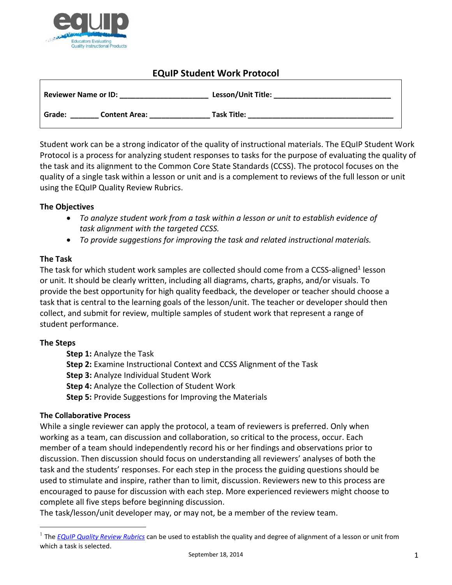

# **EQuIP Student Work Protocol**

| <b>Reviewer Name or ID:</b> |                      | Lesson/Unit Title: |
|-----------------------------|----------------------|--------------------|
| Grade:                      | <b>Content Area:</b> | <b>Task Title:</b> |

Student work can be a strong indicator of the quality of instructional materials. The EQuIP Student Work Protocol is a process for analyzing student responses to tasks for the purpose of evaluating the quality of the task and its alignment to the Common Core State Standards (CCSS). The protocol focuses on the quality of a single task within a lesson or unit and is a complement to reviews of the full lesson or unit using the EQuIP Quality Review Rubrics.

## **The Objectives**

- *To analyze student work from a task within a lesson or unit to establish evidence of task alignment with the targeted CCSS.*
- *To provide suggestions for improving the task and related instructional materials.*

#### **The Task**

The task for which student work samples are collected should come from a CCSS-aligned<sup>1</sup> lesson or unit. It should be clearly written, including all diagrams, charts, graphs, and/or visuals. To provide the best opportunity for high quality feedback, the developer or teacher should choose a task that is central to the learning goals of the lesson/unit. The teacher or developer should then collect, and submit for review, multiple samples of student work that represent a range of student performance.

## **The Steps**

 $\overline{a}$ 

- **Step 1:** Analyze the Task
- **Step 2:** Examine Instructional Context and CCSS Alignment of the Task
- **Step 3:** Analyze Individual Student Work
- **Step 4:** Analyze the Collection of Student Work
- **Step 5:** Provide Suggestions for Improving the Materials

#### **The Collaborative Process**

While a single reviewer can apply the protocol, a team of reviewers is preferred. Only when working as a team, can discussion and collaboration, so critical to the process, occur. Each member of a team should independently record his or her findings and observations prior to discussion. Then discussion should focus on understanding all reviewers' analyses of both the task and the students' responses. For each step in the process the guiding questions should be used to stimulate and inspire, rather than to limit, discussion. Reviewers new to this process are encouraged to pause for discussion with each step. More experienced reviewers might choose to complete all five steps before beginning discussion.

The task/lesson/unit developer may, or may not, be a member of the review team.

<sup>&</sup>lt;sup>1</sup> The *[EQuIP Quality Review Rubrics](http://www.achieve.org/EQuIP)* can be used to establish the quality and degree of alignment of a lesson or unit from which a task is selected.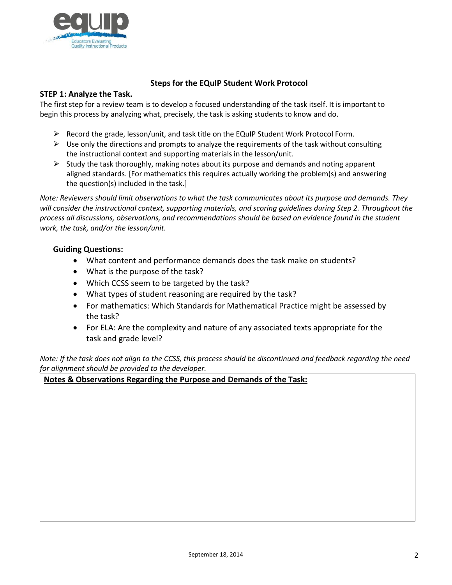

## **Steps for the EQuIP Student Work Protocol**

#### **STEP 1: Analyze the Task.**

The first step for a review team is to develop a focused understanding of the task itself. It is important to begin this process by analyzing what, precisely, the task is asking students to know and do.

- $\triangleright$  Record the grade, lesson/unit, and task title on the EQuIP Student Work Protocol Form.
- $\triangleright$  Use only the directions and prompts to analyze the requirements of the task without consulting the instructional context and supporting materials in the lesson/unit.
- $\triangleright$  Study the task thoroughly, making notes about its purpose and demands and noting apparent aligned standards. [For mathematics this requires actually working the problem(s) and answering the question(s) included in the task.]

*Note: Reviewers should limit observations to what the task communicates about its purpose and demands. They will consider the instructional context, supporting materials, and scoring guidelines during Step 2. Throughout the process all discussions, observations, and recommendations should be based on evidence found in the student work, the task, and/or the lesson/unit.* 

#### **Guiding Questions:**

- What content and performance demands does the task make on students?
- What is the purpose of the task?
- Which CCSS seem to be targeted by the task?
- What types of student reasoning are required by the task?
- For mathematics: Which Standards for Mathematical Practice might be assessed by the task?
- For ELA: Are the complexity and nature of any associated texts appropriate for the task and grade level?

*Note: If the task does not align to the CCSS, this process should be discontinued and feedback regarding the need for alignment should be provided to the developer.*

**Notes & Observations Regarding the Purpose and Demands of the Task:**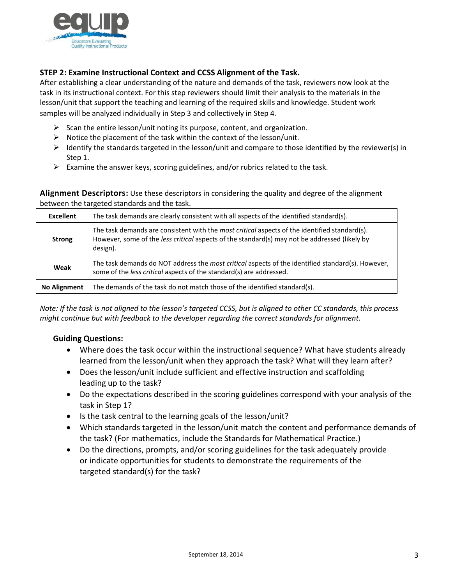

# **STEP 2: Examine Instructional Context and CCSS Alignment of the Task.**

After establishing a clear understanding of the nature and demands of the task, reviewers now look at the task in its instructional context. For this step reviewers should limit their analysis to the materials in the lesson/unit that support the teaching and learning of the required skills and knowledge. Student work samples will be analyzed individually in Step 3 and collectively in Step 4*.*

- $\triangleright$  Scan the entire lesson/unit noting its purpose, content, and organization.
- $\triangleright$  Notice the placement of the task within the context of the lesson/unit.
- $\triangleright$  Identify the standards targeted in the lesson/unit and compare to those identified by the reviewer(s) in Step 1.
- $\triangleright$  Examine the answer keys, scoring guidelines, and/or rubrics related to the task.

**Alignment Descriptors:** Use these descriptors in considering the quality and degree of the alignment between the targeted standards and the task.

| <b>Excellent</b>    | The task demands are clearly consistent with all aspects of the identified standard(s).                                                                                                                           |  |  |
|---------------------|-------------------------------------------------------------------------------------------------------------------------------------------------------------------------------------------------------------------|--|--|
| <b>Strong</b>       | The task demands are consistent with the <i>most critical</i> aspects of the identified standard(s).<br>However, some of the less critical aspects of the standard(s) may not be addressed (likely by<br>design). |  |  |
| Weak                | The task demands do NOT address the most critical aspects of the identified standard(s). However,<br>some of the less critical aspects of the standard(s) are addressed.                                          |  |  |
| <b>No Alignment</b> | The demands of the task do not match those of the identified standard(s).                                                                                                                                         |  |  |

*Note: If the task is not aligned to the lesson's targeted CCSS, but is aligned to other CC standards, this process might continue but with feedback to the developer regarding the correct standards for alignment.* 

#### **Guiding Questions:**

- Where does the task occur within the instructional sequence? What have students already learned from the lesson/unit when they approach the task? What will they learn after?
- Does the lesson/unit include sufficient and effective instruction and scaffolding leading up to the task?
- Do the expectations described in the scoring guidelines correspond with your analysis of the task in Step 1?
- Is the task central to the learning goals of the lesson/unit?
- Which standards targeted in the lesson/unit match the content and performance demands of the task? (For mathematics, include the Standards for Mathematical Practice.)
- Do the directions, prompts, and/or scoring guidelines for the task adequately provide or indicate opportunities for students to demonstrate the requirements of the targeted standard(s) for the task?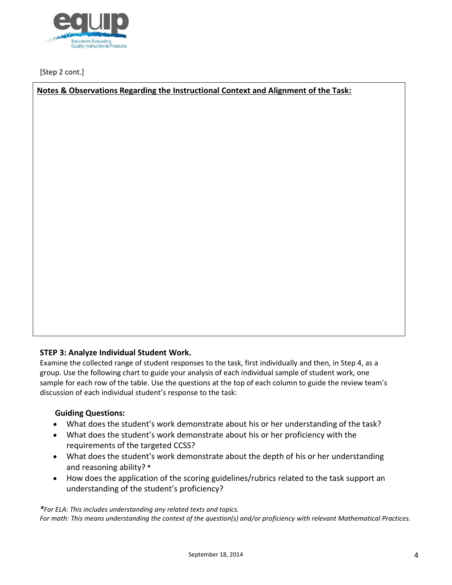

[Step 2 cont.]

**Notes & Observations Regarding the Instructional Context and Alignment of the Task:**

## **STEP 3: Analyze Individual Student Work.**

Examine the collected range of student responses to the task, first individually and then, in Step 4, as a group. Use the following chart to guide your analysis of each individual sample of student work, one sample for each row of the table. Use the questions at the top of each column to guide the review team's discussion of each individual student's response to the task:

## **Guiding Questions:**

- What does the student's work demonstrate about his or her understanding of the task?
- What does the student's work demonstrate about his or her proficiency with the requirements of the targeted CCSS?
- What does the student's work demonstrate about the depth of his or her understanding and reasoning ability? **\***
- How does the application of the scoring guidelines/rubrics related to the task support an understanding of the student's proficiency?

*\*For ELA: This includes understanding any related texts and topics.*

*For math: This means understanding the context of the question(s) and/or proficiency with relevant Mathematical Practices.*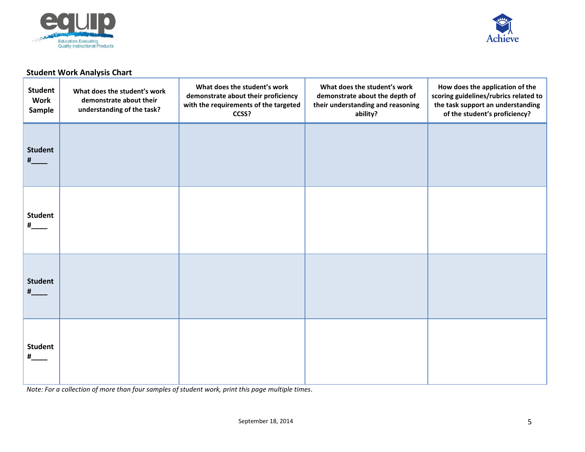



# **Student Work Analysis Chart**

| <b>Student</b><br><b>Work</b><br>Sample | What does the student's work<br>demonstrate about their<br>understanding of the task? | What does the student's work<br>demonstrate about their proficiency<br>with the requirements of the targeted<br>CCSS? | What does the student's work<br>demonstrate about the depth of<br>their understanding and reasoning<br>ability? | How does the application of the<br>scoring guidelines/rubrics related to<br>the task support an understanding<br>of the student's proficiency? |
|-----------------------------------------|---------------------------------------------------------------------------------------|-----------------------------------------------------------------------------------------------------------------------|-----------------------------------------------------------------------------------------------------------------|------------------------------------------------------------------------------------------------------------------------------------------------|
| <b>Student</b><br>$#$ <sub>___</sub>    |                                                                                       |                                                                                                                       |                                                                                                                 |                                                                                                                                                |
| <b>Student</b><br>#                     |                                                                                       |                                                                                                                       |                                                                                                                 |                                                                                                                                                |
| <b>Student</b><br>#                     |                                                                                       |                                                                                                                       |                                                                                                                 |                                                                                                                                                |
| <b>Student</b><br>#                     |                                                                                       |                                                                                                                       |                                                                                                                 |                                                                                                                                                |

*Note: For a collection of more than four samples of student work, print this page multiple times.*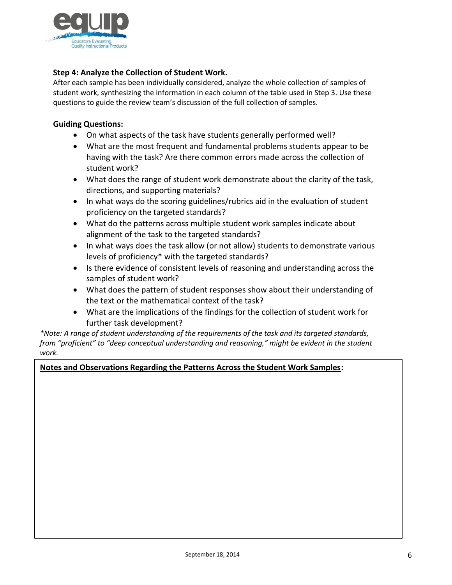

## **Step 4: Analyze the Collection of Student Work.**

After each sample has been individually considered, analyze the whole collection of samples of student work, synthesizing the information in each column of the table used in Step 3. Use these questions to guide the review team's discussion of the full collection of samples.

#### **Guiding Questions:**

- On what aspects of the task have students generally performed well?
- What are the most frequent and fundamental problems students appear to be having with the task? Are there common errors made across the collection of student work?
- What does the range of student work demonstrate about the clarity of the task, directions, and supporting materials?
- In what ways do the scoring guidelines/rubrics aid in the evaluation of student proficiency on the targeted standards?
- What do the patterns across multiple student work samples indicate about alignment of the task to the targeted standards?
- In what ways does the task allow (or not allow) students to demonstrate various levels of proficiency\* with the targeted standards?
- Is there evidence of consistent levels of reasoning and understanding across the samples of student work?
- What does the pattern of student responses show about their understanding of the text or the mathematical context of the task?
- What are the implications of the findings for the collection of student work for further task development?

*\*Note: A range of student understanding of the requirements of the task and its targeted standards, from "proficient" to "deep conceptual understanding and reasoning," might be evident in the student work.*

## **Notes and Observations Regarding the Patterns Across the Student Work Samples:**